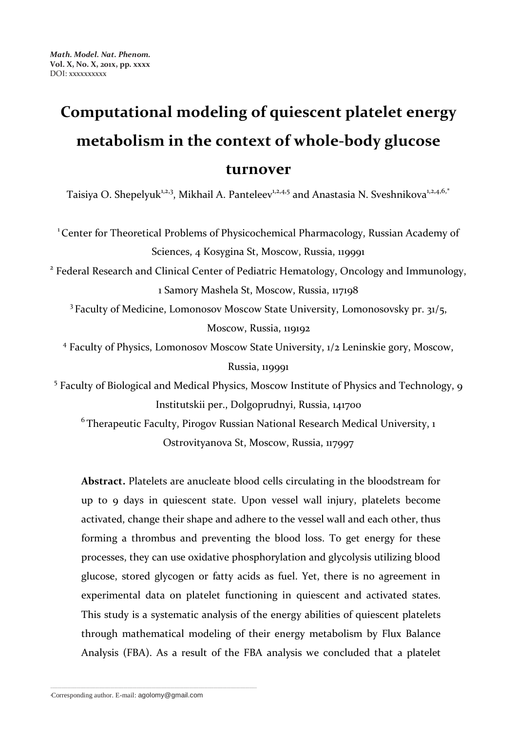# **Computational modeling of quiescent platelet energy metabolism in the context of whole-body glucose turnover**

Taisiya O. Shepelyuk<sup>1,2,3</sup>, Mikhail A. Panteleev<sup>1,2,4,5</sup> and Anastasia N. Sveshnikova<sup>1,2,4,6,\*</sup>

<sup>1</sup> Center for Theoretical Problems of Physicochemical Pharmacology, Russian Academy of Sciences, 4 Kosygina St, Moscow, Russia, 119991

<sup>2</sup> Federal Research and Clinical Center of Pediatric Hematology, Oncology and Immunology, 1 Samory Mashela St, Moscow, Russia, 117198

<sup>3</sup>Faculty of Medicine, Lomonosov Moscow State University, Lomonosovsky pr. 31/5, Moscow, Russia, 119192

4 Faculty of Physics, Lomonosov Moscow State University, 1/2 Leninskie gory, Moscow, Russia, 119991

<sup>5</sup> Faculty of Biological and Medical Physics, Moscow Institute of Physics and Technology, 9 Institutskii per., Dolgoprudnyi, Russia, 141700

<sup>6</sup> Therapeutic Faculty, Pirogov Russian National Research Medical University, 1 Ostrovityanova St, Moscow, Russia, 117997

**Abstract.** Platelets are anucleate blood cells circulating in the bloodstream for up to 9 days in quiescent state. Upon vessel wall injury, platelets become activated, change their shape and adhere to the vessel wall and each other, thus forming a thrombus and preventing the blood loss. To get energy for these processes, they can use oxidative phosphorylation and glycolysis utilizing blood glucose, stored glycogen or fatty acids as fuel. Yet, there is no agreement in experimental data on platelet functioning in quiescent and activated states. This study is a systematic analysis of the energy abilities of quiescent platelets through mathematical modeling of their energy metabolism by Flux Balance Analysis (FBA). As a result of the FBA analysis we concluded that a platelet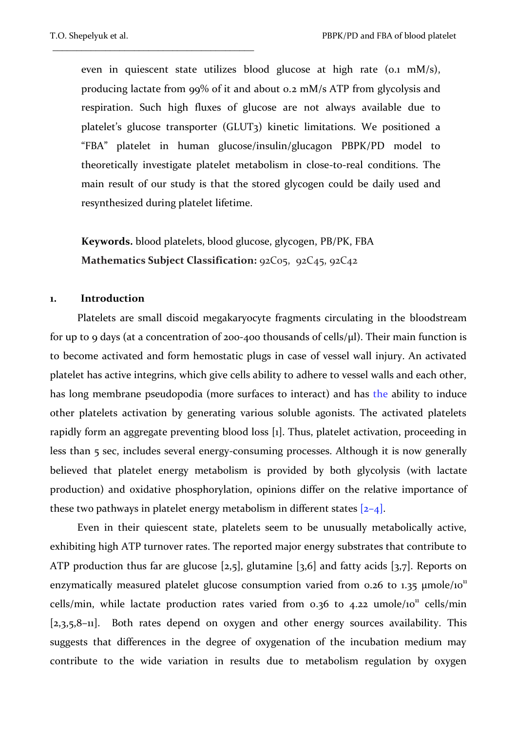even in quiescent state utilizes blood glucose at high rate (0.1 mM/s), producing lactate from 99% of it and about 0.2 mM/s ATP from glycolysis and respiration. Such high fluxes of glucose are not always available due to platelet's glucose transporter (GLUT3) kinetic limitations. We positioned a "FBA" platelet in human glucose/insulin/glucagon PBPK/PD model to theoretically investigate platelet metabolism in close-to-real conditions. The main result of our study is that the stored glycogen could be daily used and resynthesized during platelet lifetime.

**Keywords.** blood platelets, blood glucose, glycogen, PB/PK, FBA Mathematics Subject Classification: 92C05, 92C45, 92C42

#### **1. Introduction**

Platelets are small discoid megakaryocyte fragments circulating in the bloodstream for up to 9 days (at a concentration of 200-400 thousands of cells/μl). Their main function is to become activated and form hemostatic plugs in case of vessel wall injury. An activated platelet has active integrins, which give cells ability to adhere to vessel walls and each other, has long membrane pseudopodia (more surfaces to interact) and has the ability to induce other platelets activation by generating various soluble agonists. The activated platelets rapidly form an aggregate preventing blood loss [1]. Thus, platelet activation, proceeding in less than 5 sec, includes several energy-consuming processes. Although it is now generally believed that platelet energy metabolism is provided by both glycolysis (with lactate production) and oxidative phosphorylation, opinions differ on the relative importance of these two pathways in platelet energy metabolism in different states  $[2-4]$ .

Even in their quiescent state, platelets seem to be unusually metabolically active, exhibiting high ATP turnover rates. The reported major energy substrates that contribute to ATP production thus far are glucose  $[2,5]$ , glutamine  $[3,6]$  and fatty acids  $[3,7]$ . Reports on enzymatically measured platelet glucose consumption varied from 0.26 to 1.35  $\mu$ mole/10<sup>11</sup> cells/min, while lactate production rates varied from  $0.36$  to  $4.22$  umole/ $10<sup>11</sup>$  cells/min [2,3,5,8–11]. Both rates depend on oxygen and other energy sources availability. This suggests that differences in the degree of oxygenation of the incubation medium may contribute to the wide variation in results due to metabolism regulation by oxygen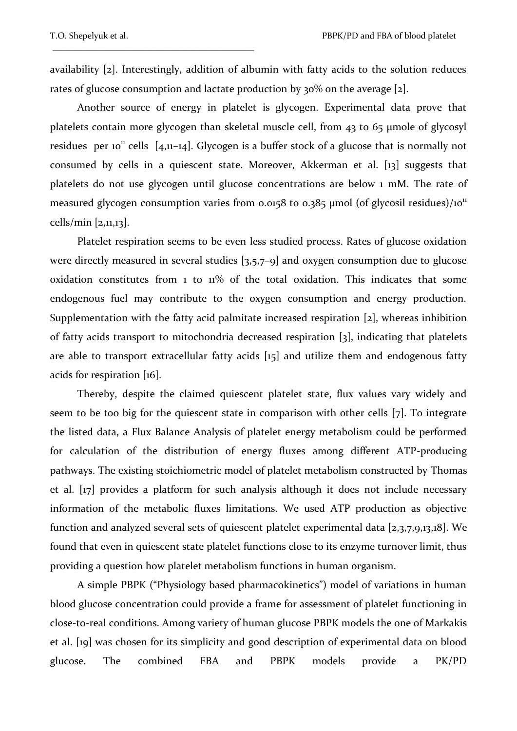availability [2]. Interestingly, addition of albumin with fatty acids to the solution reduces rates of glucose consumption and lactate production by 30% on the average [2].

Another source of energy in platelet is glycogen. Experimental data prove that platelets contain more glycogen than skeletal muscle cell, from 43 to 65 μmole of glycosyl residues per 10<sup>11</sup> cells  $[4,11-14]$ . Glycogen is a buffer stock of a glucose that is normally not consumed by cells in a quiescent state. Moreover, Akkerman et al. [13] suggests that platelets do not use glycogen until glucose concentrations are below 1 mM. The rate of measured glycogen consumption varies from 0.0158 to 0.385  $\mu$ mol (of glycosil residues)/10<sup>11</sup> cells/min [2,11,13].

Platelet respiration seems to be even less studied process. Rates of glucose oxidation were directly measured in several studies [3,5,7–9] and oxygen consumption due to glucose oxidation constitutes from 1 to 11% of the total oxidation. This indicates that some endogenous fuel may contribute to the oxygen consumption and energy production. Supplementation with the fatty acid palmitate increased respiration [2], whereas inhibition of fatty acids transport to mitochondria decreased respiration [3], indicating that platelets are able to transport extracellular fatty acids [15] and utilize them and endogenous fatty acids for respiration [16].

Thereby, despite the claimed quiescent platelet state, flux values vary widely and seem to be too big for the quiescent state in comparison with other cells [7]. To integrate the listed data, a Flux Balance Analysis of platelet energy metabolism could be performed for calculation of the distribution of energy fluxes among different ATP-producing pathways. The existing stoichiometric model of platelet metabolism constructed by Thomas et al. [17] provides a platform for such analysis although it does not include necessary information of the metabolic fluxes limitations. We used ATP production as objective function and analyzed several sets of quiescent platelet experimental data [2,3,7,9,13,18]. We found that even in quiescent state platelet functions close to its enzyme turnover limit, thus providing a question how platelet metabolism functions in human organism.

A simple PBPK ("Physiology based pharmacokinetics") model of variations in human blood glucose concentration could provide a frame for assessment of platelet functioning in close-to-real conditions. Among variety of human glucose PBPK models the one of Markakis et al. [19] was chosen for its simplicity and good description of experimental data on blood glucose. The combined FBA and PBPK models provide a PK/PD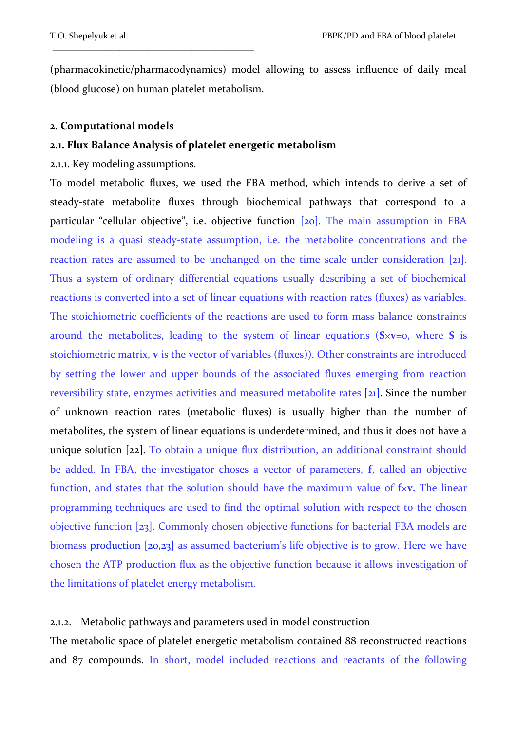(pharmacokinetic/pharmacodynamics) model allowing to assess influence of daily meal (blood glucose) on human platelet metabolism.

#### **2. Computational models**

#### **2.1. Flux Balance Analysis of platelet energetic metabolism**

2.1.1. Key modeling assumptions.

\_\_\_\_\_\_\_\_\_\_\_\_\_\_\_\_\_\_\_\_\_\_\_\_\_\_\_\_\_\_\_\_\_\_\_\_\_\_\_\_\_\_

To model metabolic fluxes, we used the FBA method, which intends to derive a set of steady-state metabolite fluxes through biochemical pathways that correspond to a particular "cellular objective", i.e. objective function [20]. The main assumption in FBA modeling is a quasi steady-state assumption, i.e. the metabolite concentrations and the reaction rates are assumed to be unchanged on the time scale under consideration [21]. Thus a system of ordinary differential equations usually describing a set of biochemical reactions is converted into a set of linear equations with reaction rates (fluxes) as variables. The stoichiometric coefficients of the reactions are used to form mass balance constraints around the metabolites, leading to the system of linear equations  $(S \times v=0,$  where S is stoichiometric matrix, **v** is the vector of variables (fluxes)). Other constraints are introduced by setting the lower and upper bounds of the associated fluxes emerging from reaction reversibility state, enzymes activities and measured metabolite rates [21]. Since the number of unknown reaction rates (metabolic fluxes) is usually higher than the number of metabolites, the system of linear equations is underdetermined, and thus it does not have a unique solution [22]. To obtain a unique flux distribution, an additional constraint should be added. In FBA, the investigator choses a vector of parameters, **f**, called an objective function, and states that the solution should have the maximum value of **f**×**v.** The linear programming techniques are used to find the optimal solution with respect to the chosen objective function [23]. Commonly chosen objective functions for bacterial FBA models are biomass production [20,23] as assumed bacterium's life objective is to grow. Here we have chosen the ATP production flux as the objective function because it allows investigation of the limitations of platelet energy metabolism.

## 2.1.2. Metabolic pathways and parameters used in model construction

The metabolic space of platelet energetic metabolism contained 88 reconstructed reactions and 87 compounds. In short, model included reactions and reactants of the following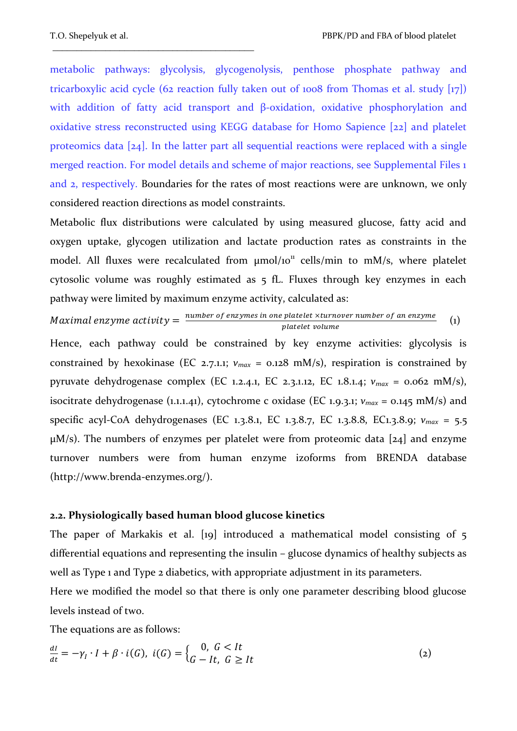metabolic pathways: glycolysis, glycogenolysis, penthose phosphate pathway and tricarboxylic acid cycle (62 reaction fully taken out of 1008 from Thomas et al. study [17]) with addition of fatty acid transport and β-oxidation, oxidative phosphorylation and oxidative stress reconstructed using KEGG database for Homo Sapience [22] and platelet proteomics data [24]. In the latter part all sequential reactions were replaced with a single merged reaction. For model details and scheme of major reactions, see Supplemental Files 1 and 2, respectively. Boundaries for the rates of most reactions were are unknown, we only considered reaction directions as model constraints.

Metabolic flux distributions were calculated by using measured glucose, fatty acid and oxygen uptake, glycogen utilization and lactate production rates as constraints in the model. All fluxes were recalculated from  $\mu$ mol/10<sup>11</sup> cells/min to mM/s, where platelet cytosolic volume was roughly estimated as 5 fL. Fluxes through key enzymes in each pathway were limited by maximum enzyme activity, calculated as:

Maximal enzyme activity  $=\frac{n}{2}$ platelet volume (1) Hence, each pathway could be constrained by key enzyme activities: glycolysis is constrained by hexokinase (EC 2.7.1.1;  $v_{max} = 0.128$  mM/s), respiration is constrained by pyruvate dehydrogenase complex (EC 1.2.4.1, EC 2.3.1.12, EC 1.8.1.4; *vmax* = 0.062 mM/s), isocitrate dehydrogenase (1.1.1.41), cytochrome c oxidase (EC 1.9.3.1;  $v_{max} = 0.145$  mM/s) and specific acyl-CoA dehydrogenases (EC 1.3.8.1, EC 1.3.8.7, EC 1.3.8.8, EC1.3.8.9; *vmax* = 5.5  $\mu$ M/s). The numbers of enzymes per platelet were from proteomic data [24] and enzyme turnover numbers were from human enzyme izoforms from BRENDA database (http://www.brenda-enzymes.org/).

#### **2.2. Physiologically based human blood glucose kinetics**

The paper of Markakis et al. [19] introduced a mathematical model consisting of 5 differential equations and representing the insulin – glucose dynamics of healthy subjects as well as Type 1 and Type 2 diabetics, with appropriate adjustment in its parameters.

Here we modified the model so that there is only one parameter describing blood glucose levels instead of two.

The equations are as follows:

$$
\frac{dl}{dt} = -\gamma_I \cdot I + \beta \cdot i(G), \ i(G) = \begin{cases} 0, \ G < It \\ G - It, \ G \geq It \end{cases} \tag{2}
$$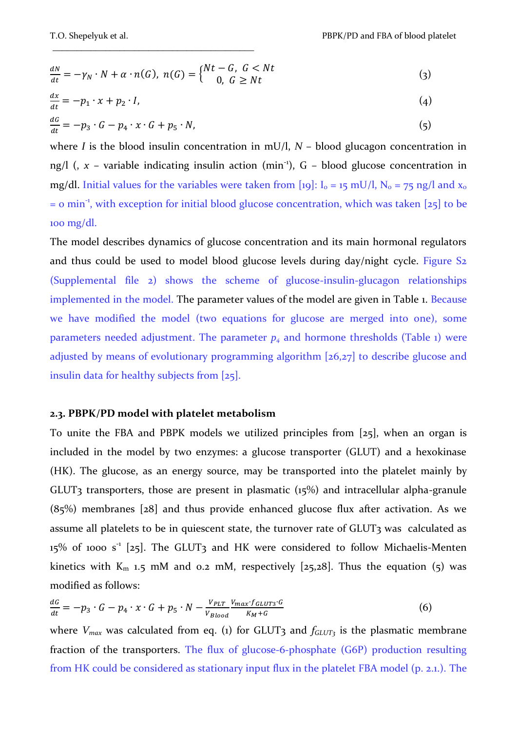$$
\frac{dN}{dt} = -\gamma_N \cdot N + \alpha \cdot n(G), \ n(G) = \begin{cases} Nt - G, \ G < Nt \\ 0, \ G \ge Nt \end{cases} \tag{3}
$$

$$
\frac{dx}{dt} = -p_1 \cdot x + p_2 \cdot I,\tag{4}
$$

$$
\frac{dG}{dt} = -p_3 \cdot G - p_4 \cdot x \cdot G + p_5 \cdot N,\tag{5}
$$

where *I* is the blood insulin concentration in  $mU/l$ ,  $N -$  blood glucagon concentration in ng/l  $(x - x)$  variable indicating insulin action  $(min^{-1})$ ,  $G - blood$  glucose concentration in mg/dl. Initial values for the variables were taken from [19]:  $I_0 = 15$  mU/l,  $N_0 = 75$  ng/l and  $x_0$ = 0 min<sup>-1</sup>, with exception for initial blood glucose concentration, which was taken [25] to be 100 mg/dl.

The model describes dynamics of glucose concentration and its main hormonal regulators and thus could be used to model blood glucose levels during day/night cycle. Figure S<sub>2</sub> (Supplemental file 2) shows the scheme of glucose-insulin-glucagon relationships implemented in the model. The parameter values of the model are given in Table 1. Because we have modified the model (two equations for glucose are merged into one), some parameters needed adjustment. The parameter *p<sup>4</sup>* and hormone thresholds (Table 1) were adjusted by means of evolutionary programming algorithm [26,27] to describe glucose and insulin data for healthy subjects from [25].

#### **2.3. PBPK/PD model with platelet metabolism**

To unite the FBA and PBPK models we utilized principles from [25], when an organ is included in the model by two enzymes: a glucose transporter (GLUT) and a hexokinase (HK). The glucose, as an energy source, may be transported into the platelet mainly by GLUT<sub>3</sub> transporters, those are present in plasmatic  $(15%)$  and intracellular alpha-granule (85%) membranes [28] and thus provide enhanced glucose flux after activation. As we assume all platelets to be in quiescent state, the turnover rate of GLUT3 was calculated as 15% of 1000 s<sup>-1</sup> [25]. The GLUT3 and HK were considered to follow Michaelis-Menten kinetics with  $K_m$  1.5 mM and 0.2 mM, respectively [25,28]. Thus the equation (5) was modified as follows:

$$
\frac{dG}{dt} = -p_3 \cdot G - p_4 \cdot x \cdot G + p_5 \cdot N - \frac{V_{PLT}}{V_{Blood}} \frac{V_{max} f_{GLUT3} \cdot G}{K_M + G} \tag{6}
$$

where  $V_{max}$  was calculated from eq. (1) for GLUT<sub>3</sub> and  $f_{GLUT_3}$  is the plasmatic membrane fraction of the transporters. The flux of glucose-6-phosphate (G6P) production resulting from HK could be considered as stationary input flux in the platelet FBA model (p. 2.1.). The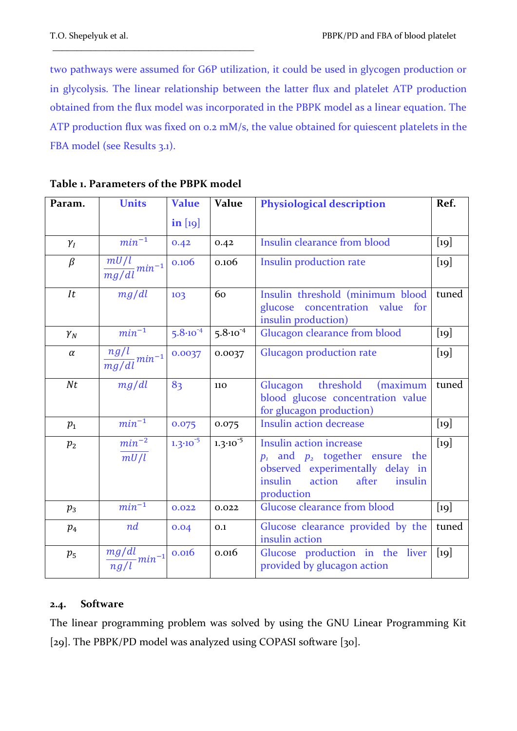two pathways were assumed for G6P utilization, it could be used in glycogen production or in glycolysis. The linear relationship between the latter flux and platelet ATP production obtained from the flux model was incorporated in the PBPK model as a linear equation. The ATP production flux was fixed on 0.2 mM/s, the value obtained for quiescent platelets in the FBA model (see Results 3.1).

| Param.     | <b>Units</b>                    | <b>Value</b>        | Value               | <b>Physiological description</b>                                                                                                                             | Ref.   |
|------------|---------------------------------|---------------------|---------------------|--------------------------------------------------------------------------------------------------------------------------------------------------------------|--------|
|            |                                 | $\text{in}$ [19]    |                     |                                                                                                                                                              |        |
| $\gamma_I$ | $min^{-1}$                      | 0.42                | 0.42                | Insulin clearance from blood                                                                                                                                 | $[19]$ |
| $\beta$    | $\frac{mU/l}{mg/dl}min^{-1}$    | 0.106               | 0.106               | Insulin production rate                                                                                                                                      | $[19]$ |
| It         | mg/dl                           | 103                 | 60                  | Insulin threshold (minimum blood<br>glucose concentration value<br>for<br>insulin production)                                                                | tuned  |
| $\gamma_N$ | $min^{-1}$                      | $5.8 \cdot 10^{-4}$ | $5.8 \cdot 10^{-4}$ | Glucagon clearance from blood                                                                                                                                | $[19]$ |
| $\alpha$   | $\frac{ng/l}{mg/dl}min^{-1}$    | 0.0037              | 0.0037              | <b>Glucagon production rate</b>                                                                                                                              | $[19]$ |
| Nt         | mg/dl                           | 83                  | 110                 | Glucagon threshold (maximum<br>blood glucose concentration value<br>for glucagon production)                                                                 | tuned  |
| $p_{1}$    | $min^{-1}$                      | 0.075               | 0.075               | <b>Insulin action decrease</b>                                                                                                                               | $[19]$ |
| $p_{2}$    | $min^{-2}$<br>$\overline{mU/l}$ | $1.3 \cdot 10^{-5}$ | $1.3 \cdot 10^{-5}$ | Insulin action increase<br>$p_1$ and $p_2$ together ensure<br>the<br>observed experimentally delay in<br>after<br>insulin<br>action<br>insulin<br>production | $[19]$ |
| $p_3$      | $min^{-1}$                      | 0.022               | 0.022               | Glucose clearance from blood                                                                                                                                 | $[19]$ |
| $p_4$      | nd                              | 0.04                | 0.1                 | Glucose clearance provided by the<br>insulin action                                                                                                          | tuned  |
| $p_{5}$    | $\frac{mg/dl}{ng/l}min^{-1}$    | 0.016               | 0.016               | Glucose production in the liver<br>provided by glucagon action                                                                                               | $[19]$ |

**Table 1. Parameters of the PBPK model**

\_\_\_\_\_\_\_\_\_\_\_\_\_\_\_\_\_\_\_\_\_\_\_\_\_\_\_\_\_\_\_\_\_\_\_\_\_\_\_\_\_\_

## **2.4. Software**

The linear programming problem was solved by using the GNU Linear Programming Kit [29]. The PBPK/PD model was analyzed using COPASI software [30].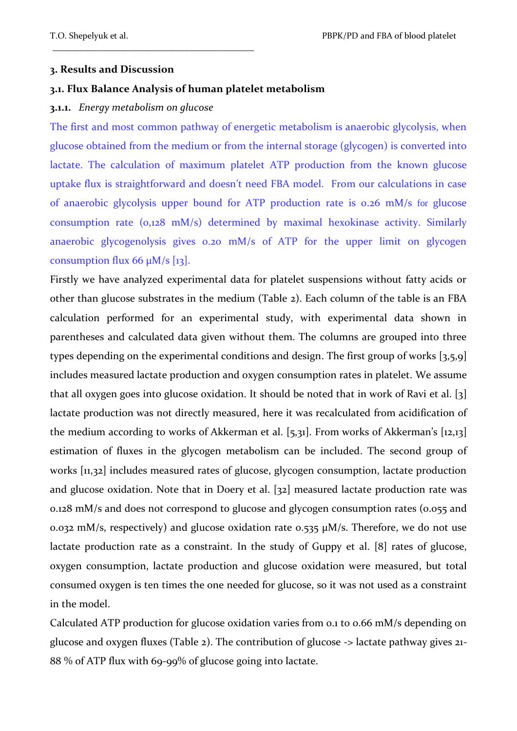#### **3. Results and Discussion**

#### **3.1. Flux Balance Analysis of human platelet metabolism**

#### **3.1.1.** *Energy metabolism on glucose*

\_\_\_\_\_\_\_\_\_\_\_\_\_\_\_\_\_\_\_\_\_\_\_\_\_\_\_\_\_\_\_\_\_\_\_\_\_\_\_\_\_\_

The first and most common pathway of energetic metabolism is anaerobic glycolysis, when glucose obtained from the medium or from the internal storage (glycogen) is converted into lactate. The calculation of maximum platelet ATP production from the known glucose uptake flux is straightforward and doesn't need FBA model. From our calculations in case of anaerobic glycolysis upper bound for ATP production rate is 0.26 mM/s for glucose consumption rate (0,128 mM/s) determined by maximal hexokinase activity. Similarly anaerobic glycogenolysis gives 0.20 mM/s of ATP for the upper limit on glycogen consumption flux 66  $\mu$ M/s [13].

Firstly we have analyzed experimental data for platelet suspensions without fatty acids or other than glucose substrates in the medium (Table 2). Each column of the table is an FBA calculation performed for an experimental study, with experimental data shown in parentheses and calculated data given without them. The columns are grouped into three types depending on the experimental conditions and design. The first group of works [3,5,9] includes measured lactate production and oxygen consumption rates in platelet. We assume that all oxygen goes into glucose oxidation. It should be noted that in work of Ravi et al. [3] lactate production was not directly measured, here it was recalculated from acidification of the medium according to works of Akkerman et al. [5,31]. From works of Akkerman's [12,13] estimation of fluxes in the glycogen metabolism can be included. The second group of works [11,32] includes measured rates of glucose, glycogen consumption, lactate production and glucose oxidation. Note that in Doery et al. [32] measured lactate production rate was 0.128 mM/s and does not correspond to glucose and glycogen consumption rates (0.055 and 0.032 mM/s, respectively) and glucose oxidation rate 0.535 μM/s. Therefore, we do not use lactate production rate as a constraint. In the study of Guppy et al. [8] rates of glucose, oxygen consumption, lactate production and glucose oxidation were measured, but total consumed oxygen is ten times the one needed for glucose, so it was not used as a constraint in the model.

Calculated ATP production for glucose oxidation varies from 0.1 to 0.66 mM/s depending on glucose and oxygen fluxes (Table 2). The contribution of glucose -> lactate pathway gives 21- 88 % of ATP flux with 69-99% of glucose going into lactate.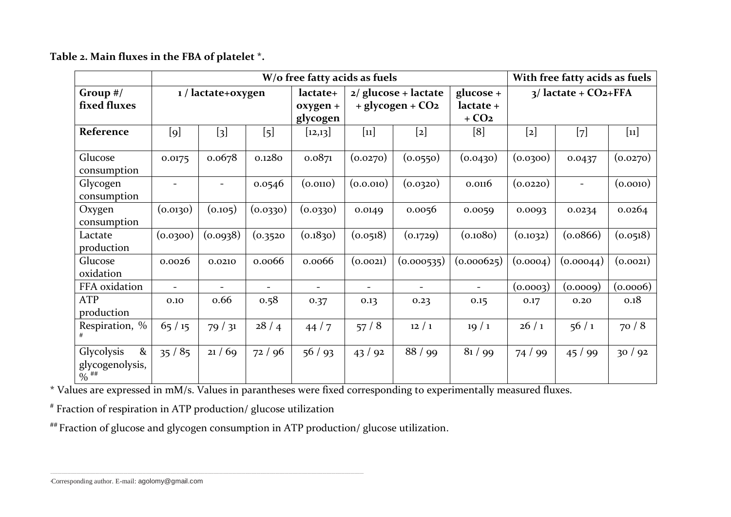|                                                                   | W/o free fatty acids as fuels |          |                  |                      |           |                        |            | With free fatty acids as fuels |                          |                            |
|-------------------------------------------------------------------|-------------------------------|----------|------------------|----------------------|-----------|------------------------|------------|--------------------------------|--------------------------|----------------------------|
| Group $\#/$                                                       | 1 / lactate+oxygen            |          |                  | lactate+             |           | $2/$ glucose + lactate |            | $3/$ lactate + $CO2+FFA$       |                          |                            |
| fixed fluxes                                                      |                               |          | oxygen +         | $+$ glycogen + $CO2$ |           | lactate +              |            |                                |                          |                            |
|                                                                   |                               |          | glycogen         |                      |           | $+ CO2$                |            |                                |                          |                            |
| Reference                                                         | [9]                           | $[3]$    | $\left[5\right]$ | [12, 13]             | $[11]$    | $[2]$                  | [8]        | $[2]$                          | $[7]$                    | $\left[\mathrm{11}\right]$ |
| Glucose<br>consumption                                            | 0.0175                        | 0.0678   | 0.1280           | 0.0871               | (0.0270)  | (0.0550)               | (0.0430)   | (0.0300)                       | 0.0437                   | (0.0270)                   |
| Glycogen<br>consumption                                           |                               |          | 0.0546           | (0.0110)             | (0.0.010) | (0.0320)               | 0.0116     | (0.0220)                       | $\overline{\phantom{0}}$ | (0.0010)                   |
| Oxygen<br>consumption                                             | (0.0130)                      | (0.105)  | (0.0330)         | (0.0330)             | 0.0149    | 0.0056                 | 0.0059     | 0.0093                         | 0.0234                   | 0.0264                     |
| Lactate<br>production                                             | (0.0300)                      | (0.0938) | (0.3520)         | (0.1830)             | (0.0518)  | (0.1729)               | (0.1080)   | (0.1032)                       | (0.0866)                 | (0.0518)                   |
| Glucose<br>oxidation                                              | 0.0026                        | 0.0210   | 0.0066           | 0.0066               | (0.0021)  | (0.000535)             | (0.000625) | (0.0004)                       | (0.00044)                | (0.0021)                   |
| FFA oxidation                                                     |                               |          |                  | $\blacksquare$       | $\equiv$  |                        | $\sim$     | (0.0003)                       | (0.0009)                 | (0.0006)                   |
| <b>ATP</b><br>production                                          | 0.10                          | 0.66     | 0.58             | 0.37                 | 0.13      | 0.23                   | 0.15       | 0.17                           | 0.20                     | 0.18                       |
| Respiration, %                                                    | 65/15                         | 79/31    | 28/4             | 44/7                 | 57/8      | 12/1                   | 19/1       | 26/1                           | 56/1                     | 70/8                       |
| $\mathbf{g}$<br>Glycolysis<br>glycogenolysis,<br>$\frac{6}{9}$ ## | 35/85                         | 21/69    | 72/96            | 56/93                | 43/92     | 88 / 99                | 81/99      | 74 / 99                        | 45/<br>99                | 30/92                      |

**Table 2. Main fluxes in the FBA of platelet \*.** 

\* Values are expressed in mM/s. Values in parantheses were fixed corresponding to experimentally measured fluxes.

# Fraction of respiration in ATP production/ glucose utilization

## Fraction of glucose and glycogen consumption in ATP production/ glucose utilization.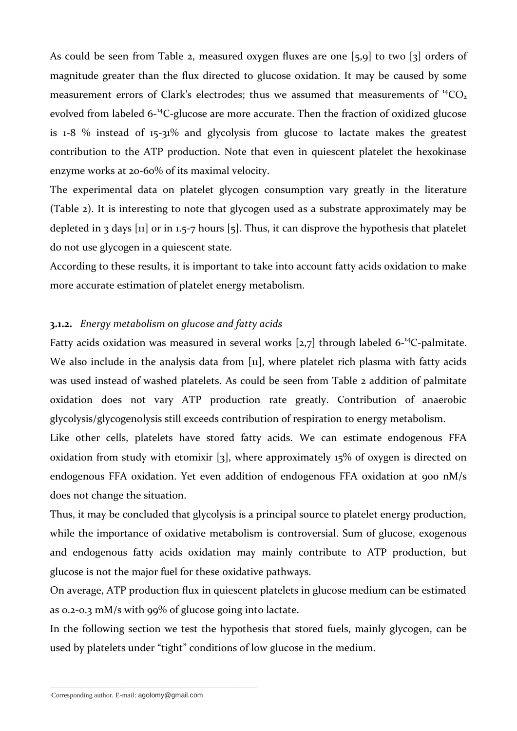As could be seen from Table 2, measured oxygen fluxes are one [5,9] to two [3] orders of magnitude greater than the flux directed to glucose oxidation. It may be caused by some measurement errors of Clark's electrodes; thus we assumed that measurements of  $^{14}CO<sub>2</sub>$ evolved from labeled 6-<sup>14</sup>C-glucose are more accurate. Then the fraction of oxidized glucose is 1-8 % instead of 15-31% and glycolysis from glucose to lactate makes the greatest contribution to the ATP production. Note that even in quiescent platelet the hexokinase enzyme works at 20-60% of its maximal velocity.

The experimental data on platelet glycogen consumption vary greatly in the literature (Table 2). It is interesting to note that glycogen used as a substrate approximately may be depleted in 3 days [11] or in 1.5-7 hours [5]. Thus, it can disprove the hypothesis that platelet do not use glycogen in a quiescent state.

According to these results, it is important to take into account fatty acids oxidation to make more accurate estimation of platelet energy metabolism.

## **3.1.2.** *Energy metabolism on glucose and fatty acids*

Fatty acids oxidation was measured in several works [2,7] through labeled 6-<sup>14</sup>C-palmitate. We also include in the analysis data from [11], where platelet rich plasma with fatty acids was used instead of washed platelets. As could be seen from Table 2 addition of palmitate oxidation does not vary ATP production rate greatly. Contribution of anaerobic glycolysis/glycogenolysis still exceeds contribution of respiration to energy metabolism.

Like other cells, platelets have stored fatty acids. We can estimate endogenous FFA oxidation from study with etomixir [3], where approximately 15% of oxygen is directed on endogenous FFA oxidation. Yet even addition of endogenous FFA oxidation at 900 nM/s does not change the situation.

Thus, it may be concluded that glycolysis is a principal source to platelet energy production, while the importance of oxidative metabolism is controversial. Sum of glucose, exogenous and endogenous fatty acids oxidation may mainly contribute to ATP production, but glucose is not the major fuel for these oxidative pathways.

On average, ATP production flux in quiescent platelets in glucose medium can be estimated as 0.2-0.3 mM/s with 99% of glucose going into lactate.

In the following section we test the hypothesis that stored fuels, mainly glycogen, can be used by platelets under "tight" conditions of low glucose in the medium.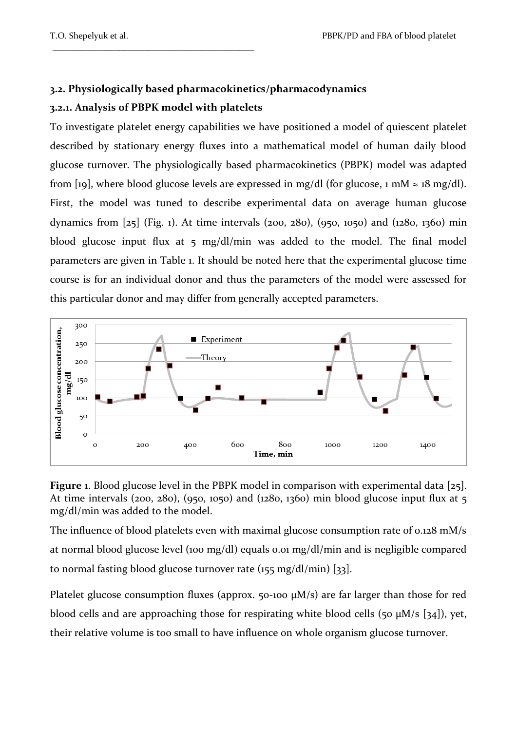## **3.2. Physiologically based pharmacokinetics/pharmacodynamics 3.2.1. Analysis of PBPK model with platelets**

\_\_\_\_\_\_\_\_\_\_\_\_\_\_\_\_\_\_\_\_\_\_\_\_\_\_\_\_\_\_\_\_\_\_\_\_\_\_\_\_\_\_

To investigate platelet energy capabilities we have positioned a model of quiescent platelet described by stationary energy fluxes into a mathematical model of human daily blood glucose turnover. The physiologically based pharmacokinetics (PBPK) model was adapted from [19], where blood glucose levels are expressed in mg/dl (for glucose, 1 mM  $\approx$  18 mg/dl). First, the model was tuned to describe experimental data on average human glucose dynamics from [25] (Fig. 1). At time intervals (200, 280), (950, 1050) and (1280, 1360) min blood glucose input flux at  $\frac{1}{2}$  mg/dl/min was added to the model. The final model parameters are given in Table 1. It should be noted here that the experimental glucose time course is for an individual donor and thus the parameters of the model were assessed for this particular donor and may differ from generally accepted parameters.



**Figure 1**. Blood glucose level in the PBPK model in comparison with experimental data [25]. At time intervals (200, 280), (950, 1050) and (1280, 1360) min blood glucose input flux at 5 mg/dl/min was added to the model.

The influence of blood platelets even with maximal glucose consumption rate of 0.128 mM/s at normal blood glucose level (100 mg/dl) equals 0.01 mg/dl/min and is negligible compared to normal fasting blood glucose turnover rate (155 mg/dl/min) [33].

Platelet glucose consumption fluxes (approx. 50-100 μM/s) are far larger than those for red blood cells and are approaching those for respirating white blood cells (50  $\mu$ M/s [34]), yet, their relative volume is too small to have influence on whole organism glucose turnover.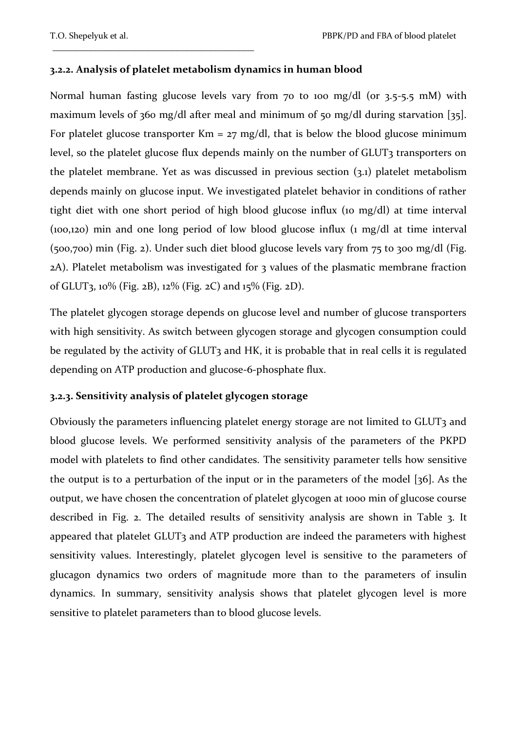## **3.2.2. Analysis of platelet metabolism dynamics in human blood**

\_\_\_\_\_\_\_\_\_\_\_\_\_\_\_\_\_\_\_\_\_\_\_\_\_\_\_\_\_\_\_\_\_\_\_\_\_\_\_\_\_\_

Normal human fasting glucose levels vary from 70 to 100 mg/dl (or 3.5-5.5 mM) with maximum levels of 360 mg/dl after meal and minimum of 50 mg/dl during starvation [35]. For platelet glucose transporter  $Km = 27$  mg/dl, that is below the blood glucose minimum level, so the platelet glucose flux depends mainly on the number of GLUT3 transporters on the platelet membrane. Yet as was discussed in previous section (3.1) platelet metabolism depends mainly on glucose input. We investigated platelet behavior in conditions of rather tight diet with one short period of high blood glucose influx (10 mg/dl) at time interval (100,120) min and one long period of low blood glucose influx (1 mg/dl at time interval (500,700) min (Fig. 2). Under such diet blood glucose levels vary from 75 to 300 mg/dl (Fig. 2A). Platelet metabolism was investigated for 3 values of the plasmatic membrane fraction of GLUT3, 10% (Fig. 2B), 12% (Fig. 2C) and 15% (Fig. 2D).

The platelet glycogen storage depends on glucose level and number of glucose transporters with high sensitivity. As switch between glycogen storage and glycogen consumption could be regulated by the activity of GLUT<sub>3</sub> and HK, it is probable that in real cells it is regulated depending on ATP production and glucose-6-phosphate flux.

## **3.2.3. Sensitivity analysis of platelet glycogen storage**

Obviously the parameters influencing platelet energy storage are not limited to GLUT3 and blood glucose levels. We performed sensitivity analysis of the parameters of the PKPD model with platelets to find other candidates. The sensitivity parameter tells how sensitive the output is to a perturbation of the input or in the parameters of the model [36]. As the output, we have chosen the concentration of platelet glycogen at 1000 min of glucose course described in Fig. 2. The detailed results of sensitivity analysis are shown in Table 3. It appeared that platelet GLUT<sub>3</sub> and ATP production are indeed the parameters with highest sensitivity values. Interestingly, platelet glycogen level is sensitive to the parameters of glucagon dynamics two orders of magnitude more than to the parameters of insulin dynamics. In summary, sensitivity analysis shows that platelet glycogen level is more sensitive to platelet parameters than to blood glucose levels.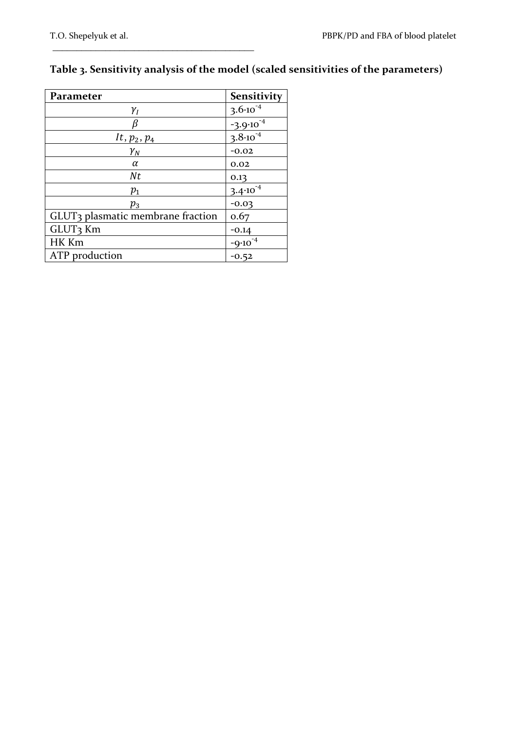# **Table 3. Sensitivity analysis of the model (scaled sensitivities of the parameters)**

| Parameter                                     | <b>Sensitivity</b>                             |  |  |
|-----------------------------------------------|------------------------------------------------|--|--|
| $\gamma_I$                                    | $3.6 \cdot 10^{-4}$                            |  |  |
|                                               | $\frac{-3.9 \cdot 10^{-4}}{3.8 \cdot 10^{-4}}$ |  |  |
| <i>It</i> , $p_2, p_4$                        |                                                |  |  |
| $\gamma_N$                                    | $-0.02$                                        |  |  |
| α                                             | 0.02                                           |  |  |
| Nt                                            | 0.13                                           |  |  |
| $p_{1}$                                       | $3.4 \cdot 10^{-4}$                            |  |  |
| $p_3$                                         | $-0.03$                                        |  |  |
| GLUT <sub>3</sub> plasmatic membrane fraction | 0.67                                           |  |  |
| GLUT <sub>3</sub> Km                          | $-0.14$                                        |  |  |
| HK Km                                         | $-9.10^{-4}$                                   |  |  |
| ATP production                                | $-0.52$                                        |  |  |

\_\_\_\_\_\_\_\_\_\_\_\_\_\_\_\_\_\_\_\_\_\_\_\_\_\_\_\_\_\_\_\_\_\_\_\_\_\_\_\_\_\_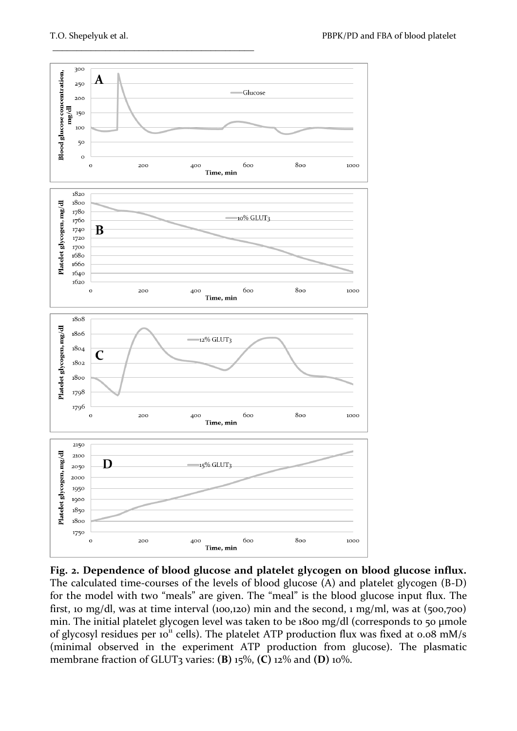

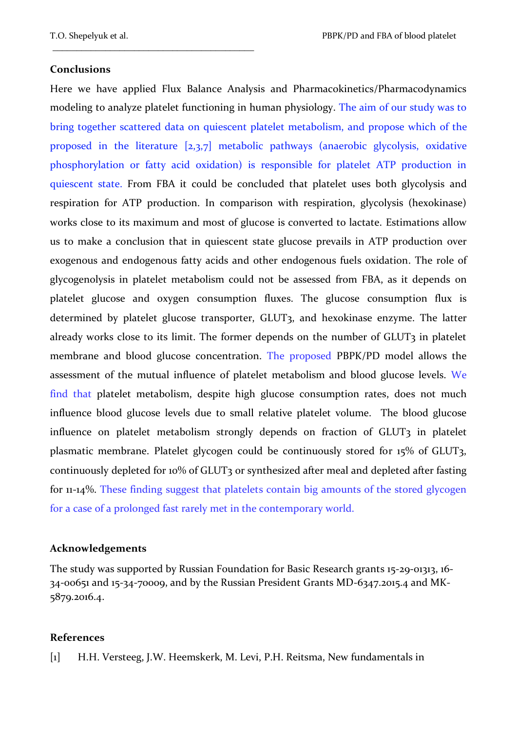## **Conclusions**

Here we have applied Flux Balance Analysis and Pharmacokinetics/Pharmacodynamics modeling to analyze platelet functioning in human physiology. The aim of our study was to bring together scattered data on quiescent platelet metabolism, and propose which of the proposed in the literature [2,3,7] metabolic pathways (anaerobic glycolysis, oxidative phosphorylation or fatty acid oxidation) is responsible for platelet ATP production in quiescent state. From FBA it could be concluded that platelet uses both glycolysis and respiration for ATP production. In comparison with respiration, glycolysis (hexokinase) works close to its maximum and most of glucose is converted to lactate. Estimations allow us to make a conclusion that in quiescent state glucose prevails in ATP production over exogenous and endogenous fatty acids and other endogenous fuels oxidation. The role of glycogenolysis in platelet metabolism could not be assessed from FBA, as it depends on platelet glucose and oxygen consumption fluxes. The glucose consumption flux is determined by platelet glucose transporter, GLUT3, and hexokinase enzyme. The latter already works close to its limit. The former depends on the number of GLUT3 in platelet membrane and blood glucose concentration. The proposed PBPK/PD model allows the assessment of the mutual influence of platelet metabolism and blood glucose levels. We find that platelet metabolism, despite high glucose consumption rates, does not much influence blood glucose levels due to small relative platelet volume. The blood glucose influence on platelet metabolism strongly depends on fraction of GLUT3 in platelet plasmatic membrane. Platelet glycogen could be continuously stored for 15% of GLUT3, continuously depleted for 10% of GLUT3 or synthesized after meal and depleted after fasting for 11-14%. These finding suggest that platelets contain big amounts of the stored glycogen for a case of a prolonged fast rarely met in the contemporary world.

## **Acknowledgements**

The study was supported by Russian Foundation for Basic Research grants 15-29-01313, 16- 34-00651 and 15-34-70009, and by the Russian President Grants MD-6347.2015.4 and MK-5879.2016.4.

## **References**

[1] H.H. Versteeg, J.W. Heemskerk, M. Levi, P.H. Reitsma, New fundamentals in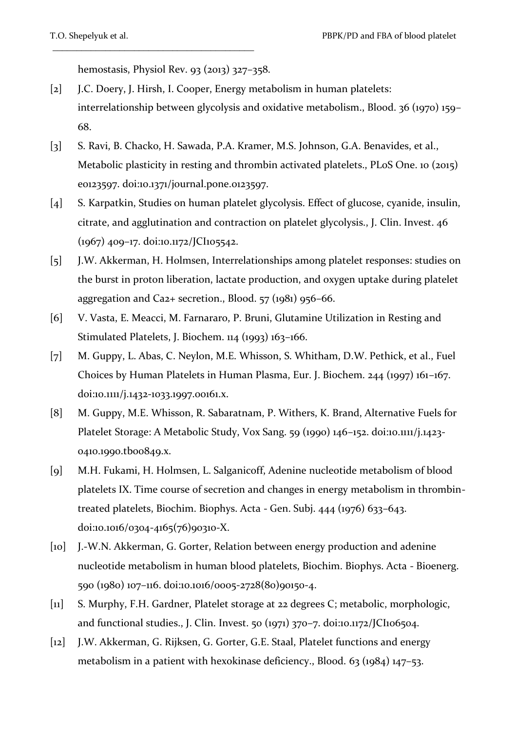hemostasis, Physiol Rev. 93 (2013) 327–358.

\_\_\_\_\_\_\_\_\_\_\_\_\_\_\_\_\_\_\_\_\_\_\_\_\_\_\_\_\_\_\_\_\_\_\_\_\_\_\_\_\_\_

- [2] J.C. Doery, J. Hirsh, I. Cooper, Energy metabolism in human platelets: interrelationship between glycolysis and oxidative metabolism., Blood. 36 (1970) 159– 68.
- [3] S. Ravi, B. Chacko, H. Sawada, P.A. Kramer, M.S. Johnson, G.A. Benavides, et al., Metabolic plasticity in resting and thrombin activated platelets., PLoS One. 10 (2015) e0123597. doi:10.1371/journal.pone.0123597.
- [4] S. Karpatkin, Studies on human platelet glycolysis. Effect of glucose, cyanide, insulin, citrate, and agglutination and contraction on platelet glycolysis., J. Clin. Invest. 46 (1967) 409–17. doi:10.1172/JCI105542.
- [5] J.W. Akkerman, H. Holmsen, Interrelationships among platelet responses: studies on the burst in proton liberation, lactate production, and oxygen uptake during platelet aggregation and Ca2+ secretion., Blood. 57 (1981) 956–66.
- [6] V. Vasta, E. Meacci, M. Farnararo, P. Bruni, Glutamine Utilization in Resting and Stimulated Platelets, J. Biochem. 114 (1993) 163–166.
- [7] M. Guppy, L. Abas, C. Neylon, M.E. Whisson, S. Whitham, D.W. Pethick, et al., Fuel Choices by Human Platelets in Human Plasma, Eur. J. Biochem. 244 (1997) 161–167. doi:10.1111/j.1432-1033.1997.00161.x.
- [8] M. Guppy, M.E. Whisson, R. Sabaratnam, P. Withers, K. Brand, Alternative Fuels for Platelet Storage: A Metabolic Study, Vox Sang. 59 (1990) 146–152. doi:10.1111/j.1423- 0410.1990.tb00849.x.
- [9] M.H. Fukami, H. Holmsen, L. Salganicoff, Adenine nucleotide metabolism of blood platelets IX. Time course of secretion and changes in energy metabolism in thrombintreated platelets, Biochim. Biophys. Acta - Gen. Subj. 444 (1976) 633–643. doi:10.1016/0304-4165(76)90310-X.
- [10] J.-W.N. Akkerman, G. Gorter, Relation between energy production and adenine nucleotide metabolism in human blood platelets, Biochim. Biophys. Acta - Bioenerg. 590 (1980) 107–116. doi:10.1016/0005-2728(80)90150-4.
- [11] S. Murphy, F.H. Gardner, Platelet storage at 22 degrees C; metabolic, morphologic, and functional studies., J. Clin. Invest. 50 (1971) 370–7. doi:10.1172/JCI106504.
- [12] J.W. Akkerman, G. Rijksen, G. Gorter, G.E. Staal, Platelet functions and energy metabolism in a patient with hexokinase deficiency., Blood. 63 (1984) 147–53.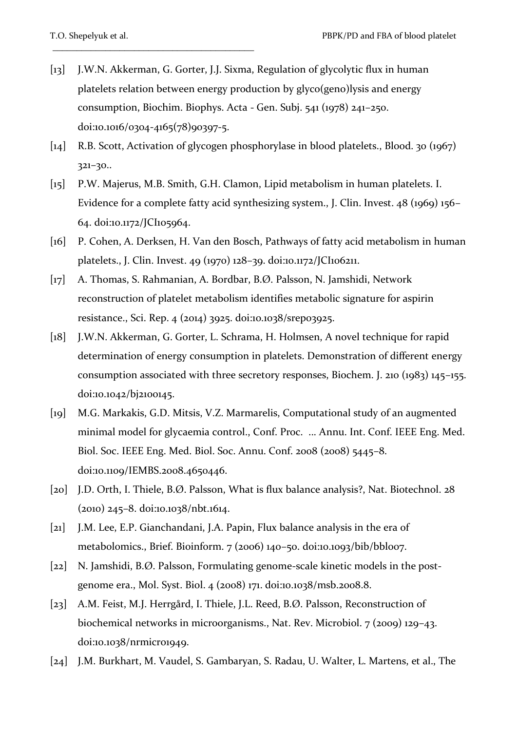- [13] J.W.N. Akkerman, G. Gorter, J.J. Sixma, Regulation of glycolytic flux in human platelets relation between energy production by glyco(geno)lysis and energy consumption, Biochim. Biophys. Acta - Gen. Subj. 541 (1978) 241–250. doi:10.1016/0304-4165(78)90397-5.
- [14] R.B. Scott, Activation of glycogen phosphorylase in blood platelets., Blood. 30 (1967) 321–30..
- [15] P.W. Majerus, M.B. Smith, G.H. Clamon, Lipid metabolism in human platelets. I. Evidence for a complete fatty acid synthesizing system., J. Clin. Invest. 48 (1969) 156– 64. doi:10.1172/JCI105964.
- [16] P. Cohen, A. Derksen, H. Van den Bosch, Pathways of fatty acid metabolism in human platelets., J. Clin. Invest. 49 (1970) 128–39. doi:10.1172/JCI106211.
- [17] A. Thomas, S. Rahmanian, A. Bordbar, B.Ø. Palsson, N. Jamshidi, Network reconstruction of platelet metabolism identifies metabolic signature for aspirin resistance., Sci. Rep. 4 (2014) 3925. doi:10.1038/srep03925.
- [18] J.W.N. Akkerman, G. Gorter, L. Schrama, H. Holmsen, A novel technique for rapid determination of energy consumption in platelets. Demonstration of different energy consumption associated with three secretory responses, Biochem. J. 210 (1983) 145–155. doi:10.1042/bj2100145.
- [19] M.G. Markakis, G.D. Mitsis, V.Z. Marmarelis, Computational study of an augmented minimal model for glycaemia control., Conf. Proc. ... Annu. Int. Conf. IEEE Eng. Med. Biol. Soc. IEEE Eng. Med. Biol. Soc. Annu. Conf. 2008 (2008) 5445–8. doi:10.1109/IEMBS.2008.4650446.
- [20] J.D. Orth, I. Thiele, B.Ø. Palsson, What is flux balance analysis?, Nat. Biotechnol. 28 (2010) 245–8. doi:10.1038/nbt.1614.
- [21] J.M. Lee, E.P. Gianchandani, J.A. Papin, Flux balance analysis in the era of metabolomics., Brief. Bioinform. 7 (2006) 140–50. doi:10.1093/bib/bbl007.
- [22] N. Jamshidi, B.Ø. Palsson, Formulating genome-scale kinetic models in the postgenome era., Mol. Syst. Biol. 4 (2008) 171. doi:10.1038/msb.2008.8.
- [23] A.M. Feist, M.J. Herrgård, I. Thiele, J.L. Reed, B.Ø. Palsson, Reconstruction of biochemical networks in microorganisms., Nat. Rev. Microbiol. 7 (2009) 129–43. doi:10.1038/nrmicro1949.
- [24] J.M. Burkhart, M. Vaudel, S. Gambaryan, S. Radau, U. Walter, L. Martens, et al., The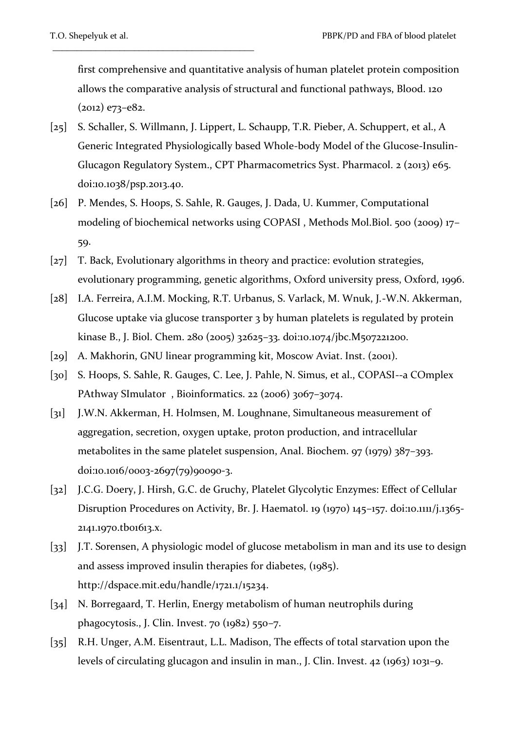first comprehensive and quantitative analysis of human platelet protein composition allows the comparative analysis of structural and functional pathways, Blood. 120 (2012) e73–e82.

- [25] S. Schaller, S. Willmann, J. Lippert, L. Schaupp, T.R. Pieber, A. Schuppert, et al., A Generic Integrated Physiologically based Whole-body Model of the Glucose-Insulin-Glucagon Regulatory System., CPT Pharmacometrics Syst. Pharmacol. 2 (2013) e65. doi:10.1038/psp.2013.40.
- [26] P. Mendes, S. Hoops, S. Sahle, R. Gauges, J. Dada, U. Kummer, Computational modeling of biochemical networks using COPASI , Methods Mol.Biol. 500 (2009) 17– 59.
- [27] T. Back, Evolutionary algorithms in theory and practice: evolution strategies, evolutionary programming, genetic algorithms, Oxford university press, Oxford, 1996.
- [28] I.A. Ferreira, A.I.M. Mocking, R.T. Urbanus, S. Varlack, M. Wnuk, J.-W.N. Akkerman, Glucose uptake via glucose transporter 3 by human platelets is regulated by protein kinase B., J. Biol. Chem. 280 (2005) 32625–33. doi:10.1074/jbc.M507221200.
- [29] A. Makhorin, GNU linear programming kit, Moscow Aviat. Inst. (2001).
- [30] S. Hoops, S. Sahle, R. Gauges, C. Lee, J. Pahle, N. Simus, et al., COPASI--a COmplex PAthway SImulator, Bioinformatics. 22 (2006) 3067-3074.
- [31] J.W.N. Akkerman, H. Holmsen, M. Loughnane, Simultaneous measurement of aggregation, secretion, oxygen uptake, proton production, and intracellular metabolites in the same platelet suspension, Anal. Biochem. 97 (1979) 387–393. doi:10.1016/0003-2697(79)90090-3.
- [32] J.C.G. Doery, J. Hirsh, G.C. de Gruchy, Platelet Glycolytic Enzymes: Effect of Cellular Disruption Procedures on Activity, Br. J. Haematol. 19 (1970) 145–157. doi:10.1111/j.1365- 2141.1970.tb01613.x.
- [33] J.T. Sorensen, A physiologic model of glucose metabolism in man and its use to design and assess improved insulin therapies for diabetes, (1985). http://dspace.mit.edu/handle/1721.1/15234.
- [34] N. Borregaard, T. Herlin, Energy metabolism of human neutrophils during phagocytosis., J. Clin. Invest. 70 (1982) 550–7.
- [35] R.H. Unger, A.M. Eisentraut, L.L. Madison, The effects of total starvation upon the levels of circulating glucagon and insulin in man., J. Clin. Invest. 42 (1963) 1031–9.